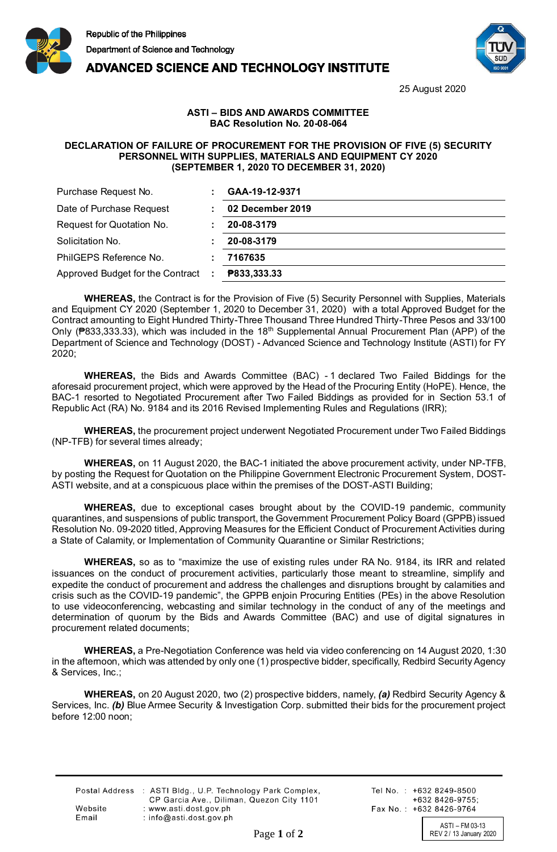

**ADVANCED SCIENCE AND TECHNOLOGY INSTITUTE** 



25 August 2020

## **ASTI – BIDS AND AWARDS COMMITTEE BAC Resolution No. 20-08-064**

## **DECLARATION OF FAILURE OF PROCUREMENT FOR THE PROVISION OF FIVE (5) SECURITY PERSONNEL WITH SUPPLIES, MATERIALS AND EQUIPMENT CY 2020 (SEPTEMBER 1, 2020 TO DECEMBER 31, 2020)**

| Purchase Request No.             | GAA-19-12-9371   |
|----------------------------------|------------------|
| Date of Purchase Request         | 02 December 2019 |
| Request for Quotation No.        | 20-08-3179       |
| Solicitation No.                 | 20-08-3179       |
| PhilGEPS Reference No.           | 7167635          |
| Approved Budget for the Contract | P833,333.33      |

**WHEREAS,** the Contract is for the Provision of Five (5) Security Personnel with Supplies, Materials and Equipment CY 2020 (September 1, 2020 to December 31, 2020) with a total Approved Budget for the Contract amounting to Eight Hundred Thirty-Three Thousand Three Hundred Thirty-Three Pesos and 33/100 Only (₱833,333.33), which was included in the 18<sup>th</sup> Supplemental Annual Procurement Plan (APP) of the Department of Science and Technology (DOST) - Advanced Science and Technology Institute (ASTI) for FY 2020;

**WHEREAS,** the Bids and Awards Committee (BAC) - 1 declared Two Failed Biddings for the aforesaid procurement project, which were approved by the Head of the Procuring Entity (HoPE). Hence, the BAC-1 resorted to Negotiated Procurement after Two Failed Biddings as provided for in Section 53.1 of Republic Act (RA) No. 9184 and its 2016 Revised Implementing Rules and Regulations (IRR);

**WHEREAS,** the procurement project underwent Negotiated Procurement under Two Failed Biddings (NP-TFB) for several times already;

**WHEREAS,** on 11 August 2020, the BAC-1 initiated the above procurement activity, under NP-TFB, by posting the Request for Quotation on the Philippine Government Electronic Procurement System, DOST-ASTI website, and at a conspicuous place within the premises of the DOST-ASTI Building;

**WHEREAS,** due to exceptional cases brought about by the COVID-19 pandemic, community quarantines, and suspensions of public transport, the Government Procurement Policy Board (GPPB) issued Resolution No. 09-2020 titled, Approving Measures for the Efficient Conduct of Procurement Activities during a State of Calamity, or Implementation of Community Quarantine or Similar Restrictions;

**WHEREAS,** so as to "maximize the use of existing rules under RA No. 9184, its IRR and related issuances on the conduct of procurement activities, particularly those meant to streamline, simplify and expedite the conduct of procurement and address the challenges and disruptions brought by calamities and crisis such as the COVID-19 pandemic", the GPPB enjoin Procuring Entities (PEs) in the above Resolution to use videoconferencing, webcasting and similar technology in the conduct of any of the meetings and determination of quorum by the Bids and Awards Committee (BAC) and use of digital signatures in procurement related documents;

**WHEREAS,** a Pre-Negotiation Conference was held via video conferencing on 14 August 2020, 1:30 in the afternoon, which was attended by only one (1) prospective bidder, specifically, Redbird Security Agency & Services, Inc.;

**WHEREAS,** on 20 August 2020, two (2) prospective bidders, namely, *(a)* Redbird Security Agency & Services, Inc. *(b)* Blue Armee Security & Investigation Corp. submitted their bids for the procurement project before 12:00 noon;